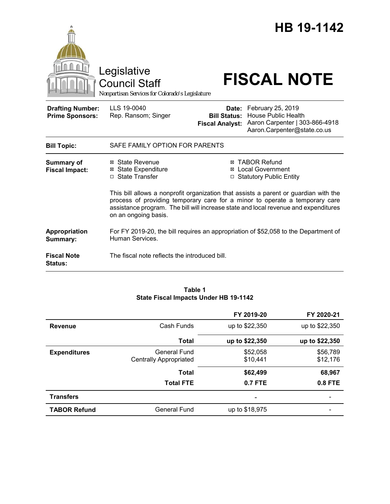

#### **Table 1 State Fiscal Impacts Under HB 19-1142**

|                     |                                        | FY 2019-20           | FY 2020-21           |
|---------------------|----------------------------------------|----------------------|----------------------|
| <b>Revenue</b>      | Cash Funds                             | up to \$22,350       | up to \$22,350       |
|                     | <b>Total</b>                           | up to \$22,350       | up to \$22,350       |
| <b>Expenditures</b> | General Fund<br>Centrally Appropriated | \$52,058<br>\$10.441 | \$56,789<br>\$12,176 |
|                     | <b>Total</b>                           | \$62,499             | 68,967               |
|                     | <b>Total FTE</b>                       | $0.7$ FTE            | $0.8$ FTE            |
| <b>Transfers</b>    |                                        | ۰                    |                      |
| <b>TABOR Refund</b> | General Fund                           | up to \$18,975       |                      |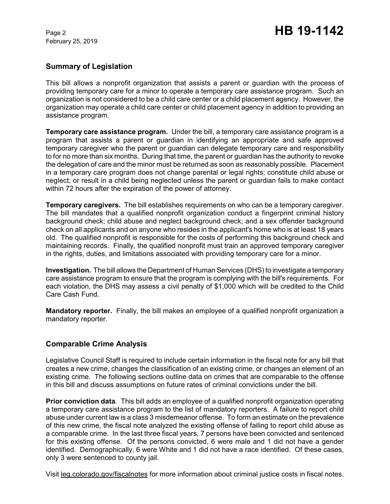## **Summary of Legislation**

This bill allows a nonprofit organization that assists a parent or guardian with the process of providing temporary care for a minor to operate a temporary care assistance program. Such an organization is not considered to be a child care center or a child placement agency. However, the organization may operate a child care center or child placement agency in addition to providing an assistance program.

**Temporary care assistance program.** Under the bill, a temporary care assistance program is a program that assists a parent or guardian in identifying an appropriate and safe approved temporary caregiver who the parent or guardian can delegate temporary care and responsibility to for no more than six months. During that time, the parent or guardian has the authority to revoke the delegation of care and the minor must be returned as soon as reasonably possible. Placement in a temporary care program does not change parental or legal rights; constitute child abuse or neglect; or result in a child being neglected unless the parent or guardian fails to make contact within 72 hours after the expiration of the power of attorney.

**Temporary caregivers.** The bill establishes requirements on who can be a temporary caregiver. The bill mandates that a qualified nonprofit organization conduct a fingerprint criminal history background check; child abuse and neglect background check; and a sex offender background check on all applicants and on anyone who resides in the applicant's home who is at least 18 years old. The qualified nonprofit is responsible for the costs of performing this background check and maintaining records. Finally, the qualified nonprofit must train an approved temporary caregiver in the rights, duties, and limitations associated with providing temporary care for a minor.

**Investigation.** The bill allows the Department of Human Services (DHS) to investigate a temporary care assistance program to ensure that the program is complying with the bill's requirements. For each violation, the DHS may assess a civil penalty of \$1,000 which will be credited to the Child Care Cash Fund.

**Mandatory reporter.** Finally, the bill makes an employee of a qualified nonprofit organization a mandatory reporter.

# **Comparable Crime Analysis**

Legislative Council Staff is required to include certain information in the fiscal note for any bill that creates a new crime, changes the classification of an existing crime, or changes an element of an existing crime. The following sections outline data on crimes that are comparable to the offense in this bill and discuss assumptions on future rates of criminal convictions under the bill.

**Prior conviction data**. This bill adds an employee of a qualified nonprofit organization operating a temporary care assistance program to the list of mandatory reporters. A failure to report child abuse under current law is a class 3 misdemeanor offense. To form an estimate on the prevalence of this new crime, the fiscal note analyzed the existing offense of failing to report child abuse as a comparable crime. In the last three fiscal years, 7 persons have been convicted and sentenced for this existing offense. Of the persons convicted, 6 were male and 1 did not have a gender identified. Demographically, 6 were White and 1 did not have a race identified. Of these cases, only 3 were sentenced to county jail.

Visit leg.colorado.gov/fiscalnotes for more information about criminal justice costs in fiscal notes.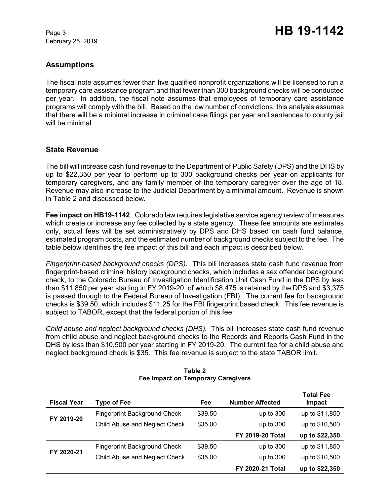# **Assumptions**

The fiscal note assumes fewer than five qualified nonprofit organizations will be licensed to run a temporary care assistance program and that fewer than 300 background checks will be conducted per year.In addition, the fiscal note assumes that employees of temporary care assistance programs will comply with the bill. Based on the low number of convictions, this analysis assumes that there will be a minimal increase in criminal case filings per year and sentences to county jail will be minimal.

# **State Revenue**

The bill will increase cash fund revenue to the Department of Public Safety (DPS) and the DHS by up to \$22,350 per year to perform up to 300 background checks per year on applicants for temporary caregivers, and any family member of the temporary caregiver over the age of 18. Revenue may also increase to the Judicial Department by a minimal amount. Revenue is shown in Table 2 and discussed below.

**Fee impact on HB19-1142**. Colorado law requires legislative service agency review of measures which create or increase any fee collected by a state agency. These fee amounts are estimates only, actual fees will be set administratively by DPS and DHS based on cash fund balance, estimated program costs, and the estimated number of background checks subject to the fee. The table below identifies the fee impact of this bill and each impact is described below.

*Fingerprint-based background checks (DPS).* This bill increases state cash fund revenue from fingerprint-based criminal history background checks, which includes a sex offender background check, to the Colorado Bureau of Investigation Identification Unit Cash Fund in the DPS by less than \$11,850 per year starting in FY 2019-20, of which \$8,475 is retained by the DPS and \$3,375 is passed through to the Federal Bureau of Investigation (FBI). The current fee for background checks is \$39.50, which includes \$11.25 for the FBI fingerprint based check. This fee revenue is subject to TABOR, except that the federal portion of this fee.

*Child abuse and neglect background checks (DHS).*This bill increases state cash fund revenue from child abuse and neglect background checks to the Records and Reports Cash Fund in the DHS by less than \$10,500 per year starting in FY 2019-20. The current fee for a child abuse and neglect background check is \$35. This fee revenue is subject to the state TABOR limit.

| <b>Fiscal Year</b> | <b>Type of Fee</b>                  | Fee     | <b>Number Affected</b>  | <b>Total Fee</b><br>Impact |
|--------------------|-------------------------------------|---------|-------------------------|----------------------------|
| FY 2019-20         | <b>Fingerprint Background Check</b> | \$39.50 | up to $300$             | up to \$11,850             |
|                    | Child Abuse and Neglect Check       | \$35.00 | up to $300$             | up to \$10,500             |
|                    |                                     |         | <b>FY 2019-20 Total</b> | up to \$22,350             |
| FY 2020-21         | <b>Fingerprint Background Check</b> | \$39.50 | up to $300$             | up to \$11,850             |
|                    | Child Abuse and Neglect Check       | \$35.00 | up to $300$             | up to \$10,500             |
|                    |                                     |         | <b>FY 2020-21 Total</b> | up to \$22,350             |

#### **Table 2 Fee Impact on Temporary Caregivers**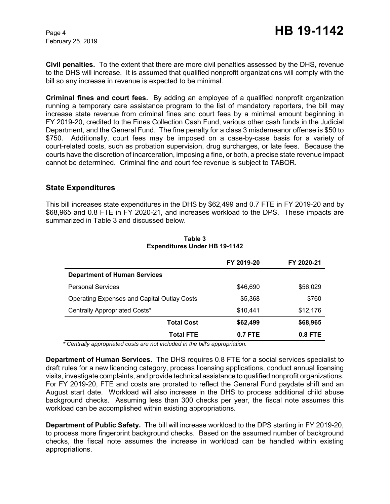**Civil penalties.** To the extent that there are more civil penalties assessed by the DHS, revenue to the DHS will increase. It is assumed that qualified nonprofit organizations will comply with the bill so any increase in revenue is expected to be minimal.

**Criminal fines and court fees.** By adding an employee of a qualified nonprofit organization running a temporary care assistance program to the list of mandatory reporters, the bill may increase state revenue from criminal fines and court fees by a minimal amount beginning in FY 2019-20, credited to the Fines Collection Cash Fund, various other cash funds in the Judicial Department, and the General Fund. The fine penalty for a class 3 misdemeanor offense is \$50 to \$750. Additionally, court fees may be imposed on a case-by-case basis for a variety of court-related costs, such as probation supervision, drug surcharges, or late fees. Because the courts have the discretion of incarceration, imposing a fine, or both, a precise state revenue impact cannot be determined. Criminal fine and court fee revenue is subject to TABOR.

### **State Expenditures**

This bill increases state expenditures in the DHS by \$62,499 and 0.7 FTE in FY 2019-20 and by \$68,965 and 0.8 FTE in FY 2020-21, and increases workload to the DPS. These impacts are summarized in Table 3 and discussed below.

|                                                    | FY 2019-20 | FY 2020-21 |
|----------------------------------------------------|------------|------------|
| <b>Department of Human Services</b>                |            |            |
| <b>Personal Services</b>                           | \$46,690   | \$56,029   |
| <b>Operating Expenses and Capital Outlay Costs</b> | \$5,368    | \$760      |
| Centrally Appropriated Costs*                      | \$10,441   | \$12,176   |
| <b>Total Cost</b>                                  | \$62,499   | \$68,965   |
| <b>Total FTE</b>                                   | $0.7$ FTE  | $0.8$ FTE  |

### **Table 3 Expenditures Under HB 19-1142**

 *\* Centrally appropriated costs are not included in the bill's appropriation.*

**Department of Human Services.** The DHS requires 0.8 FTE for a social services specialist to draft rules for a new licencing category, process licensing applications, conduct annual licensing visits, investigate complaints, and provide technical assistance to qualified nonprofit organizations. For FY 2019-20, FTE and costs are prorated to reflect the General Fund paydate shift and an August start date. Workload will also increase in the DHS to process additional child abuse background checks. Assuming less than 300 checks per year, the fiscal note assumes this workload can be accomplished within existing appropriations.

**Department of Public Safety.** The bill will increase workload to the DPS starting in FY 2019-20, to process more fingerprint background checks. Based on the assumed number of background checks, the fiscal note assumes the increase in workload can be handled within existing appropriations.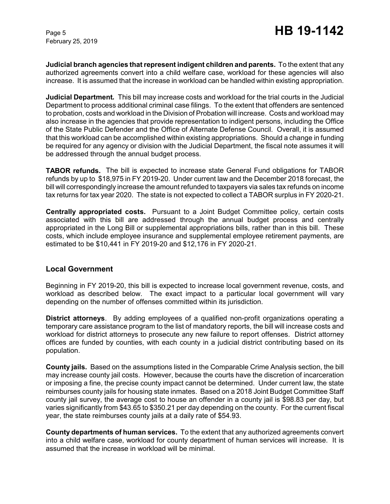**Judicial branch agencies that represent indigent children and parents.** To the extent that any authorized agreements convert into a child welfare case, workload for these agencies will also increase. It is assumed that the increase in workload can be handled within existing appropriation.

**Judicial Department***.* This bill may increase costs and workload for the trial courts in the Judicial Department to process additional criminal case filings. To the extent that offenders are sentenced to probation, costs and workload in the Division of Probation will increase. Costs and workload may also increase in the agencies that provide representation to indigent persons, including the Office of the State Public Defender and the Office of Alternate Defense Council. Overall, it is assumed that this workload can be accomplished within existing appropriations. Should a change in funding be required for any agency or division with the Judicial Department, the fiscal note assumes it will be addressed through the annual budget process.

**TABOR refunds.** The bill is expected to increase state General Fund obligations for TABOR refunds by up to \$18,975 in FY 2019-20. Under current law and the December 2018 forecast, the bill will correspondingly increase the amount refunded to taxpayers via sales tax refunds on income tax returns for tax year 2020. The state is not expected to collect a TABOR surplus in FY 2020-21.

**Centrally appropriated costs.** Pursuant to a Joint Budget Committee policy, certain costs associated with this bill are addressed through the annual budget process and centrally appropriated in the Long Bill or supplemental appropriations bills, rather than in this bill. These costs, which include employee insurance and supplemental employee retirement payments, are estimated to be \$10,441 in FY 2019-20 and \$12,176 in FY 2020-21.

### **Local Government**

Beginning in FY 2019-20, this bill is expected to increase local government revenue, costs, and workload as described below. The exact impact to a particular local government will vary depending on the number of offenses committed within its jurisdiction.

**District attorneys**. By adding employees of a qualified non-profit organizations operating a temporary care assistance program to the list of mandatory reports, the bill will increase costs and workload for district attorneys to prosecute any new failure to report offenses. District attorney offices are funded by counties, with each county in a judicial district contributing based on its population.

**County jails.** Based on the assumptions listed in the Comparable Crime Analysis section, the bill may increase county jail costs. However, because the courts have the discretion of incarceration or imposing a fine, the precise county impact cannot be determined. Under current law, the state reimburses county jails for housing state inmates. Based on a 2018 Joint Budget Committee Staff county jail survey, the average cost to house an offender in a county jail is \$98.83 per day, but varies significantly from \$43.65 to \$350.21 per day depending on the county. For the current fiscal year, the state reimburses county jails at a daily rate of \$54.93.

**County departments of human services.** To the extent that any authorized agreements convert into a child welfare case, workload for county department of human services will increase. It is assumed that the increase in workload will be minimal.